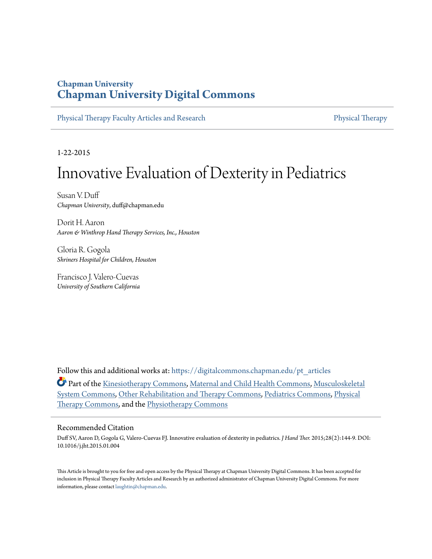# **Chapman University [Chapman University Digital Commons](https://digitalcommons.chapman.edu?utm_source=digitalcommons.chapman.edu%2Fpt_articles%2F98&utm_medium=PDF&utm_campaign=PDFCoverPages)**

[Physical Therapy Faculty Articles and Research](https://digitalcommons.chapman.edu/pt_articles?utm_source=digitalcommons.chapman.edu%2Fpt_articles%2F98&utm_medium=PDF&utm_campaign=PDFCoverPages) [Physical Therapy](https://digitalcommons.chapman.edu/physicaltherapy?utm_source=digitalcommons.chapman.edu%2Fpt_articles%2F98&utm_medium=PDF&utm_campaign=PDFCoverPages)

1-22-2015

# Innovative Evaluation of Dexterity in Pediatrics

Susan V. Duff *Chapman University*, duff@chapman.edu

Dorit H. Aaron *Aaron & Winthrop Hand Therapy Services, Inc., Houston*

Gloria R. Gogola *Shriners Hospital for Children, Houston*

Francisco J. Valero-Cuevas *University of Southern California*

Follow this and additional works at: [https://digitalcommons.chapman.edu/pt\\_articles](https://digitalcommons.chapman.edu/pt_articles?utm_source=digitalcommons.chapman.edu%2Fpt_articles%2F98&utm_medium=PDF&utm_campaign=PDFCoverPages)

**Part of the [Kinesiotherapy Commons](http://network.bepress.com/hgg/discipline/757?utm_source=digitalcommons.chapman.edu%2Fpt_articles%2F98&utm_medium=PDF&utm_campaign=PDFCoverPages), [Maternal and Child Health Commons,](http://network.bepress.com/hgg/discipline/745?utm_source=digitalcommons.chapman.edu%2Fpt_articles%2F98&utm_medium=PDF&utm_campaign=PDFCoverPages) [Musculoskeletal](http://network.bepress.com/hgg/discipline/938?utm_source=digitalcommons.chapman.edu%2Fpt_articles%2F98&utm_medium=PDF&utm_campaign=PDFCoverPages)** [System Commons](http://network.bepress.com/hgg/discipline/938?utm_source=digitalcommons.chapman.edu%2Fpt_articles%2F98&utm_medium=PDF&utm_campaign=PDFCoverPages), [Other Rehabilitation and Therapy Commons](http://network.bepress.com/hgg/discipline/758?utm_source=digitalcommons.chapman.edu%2Fpt_articles%2F98&utm_medium=PDF&utm_campaign=PDFCoverPages), [Pediatrics Commons,](http://network.bepress.com/hgg/discipline/700?utm_source=digitalcommons.chapman.edu%2Fpt_articles%2F98&utm_medium=PDF&utm_campaign=PDFCoverPages) [Physical](http://network.bepress.com/hgg/discipline/754?utm_source=digitalcommons.chapman.edu%2Fpt_articles%2F98&utm_medium=PDF&utm_campaign=PDFCoverPages) [Therapy Commons,](http://network.bepress.com/hgg/discipline/754?utm_source=digitalcommons.chapman.edu%2Fpt_articles%2F98&utm_medium=PDF&utm_campaign=PDFCoverPages) and the [Physiotherapy Commons](http://network.bepress.com/hgg/discipline/1086?utm_source=digitalcommons.chapman.edu%2Fpt_articles%2F98&utm_medium=PDF&utm_campaign=PDFCoverPages)

# Recommended Citation

Duff SV, Aaron D, Gogola G, Valero-Cuevas FJ. Innovative evaluation of dexterity in pediatrics. *J Hand Ther.* 2015;28(2):144-9. DOI: 10.1016/j.jht.2015.01.004

This Article is brought to you for free and open access by the Physical Therapy at Chapman University Digital Commons. It has been accepted for inclusion in Physical Therapy Faculty Articles and Research by an authorized administrator of Chapman University Digital Commons. For more information, please contact [laughtin@chapman.edu](mailto:laughtin@chapman.edu).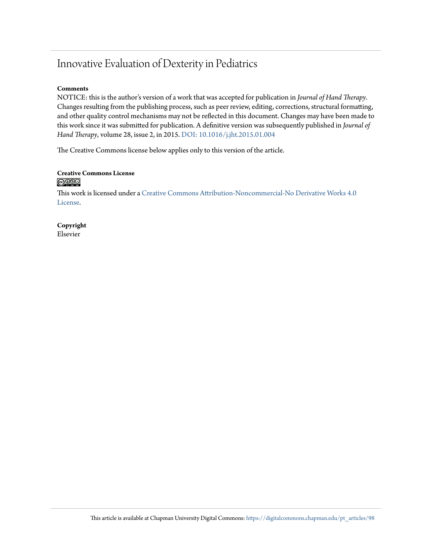# Innovative Evaluation of Dexterity in Pediatrics

#### **Comments**

NOTICE: this is the author's version of a work that was accepted for publication in *Journal of Hand Therapy*. Changes resulting from the publishing process, such as peer review, editing, corrections, structural formatting, and other quality control mechanisms may not be reflected in this document. Changes may have been made to this work since it was submitted for publication. A definitive version was subsequently published in *Journal of Hand Therapy*, volume 28, issue 2, in 2015. [DOI: 10.1016/j.jht.2015.01.004](https://doi.org/10.1016/j.jht.2015.01.004)

The Creative Commons license below applies only to this version of the article.

#### **Creative Commons License**  $\bigcirc$   $\circ$

This work is licensed under a [Creative Commons Attribution-Noncommercial-No Derivative Works 4.0](https://creativecommons.org/licenses/by-nc-nd/4.0/) [License.](https://creativecommons.org/licenses/by-nc-nd/4.0/)

**Copyright** Elsevier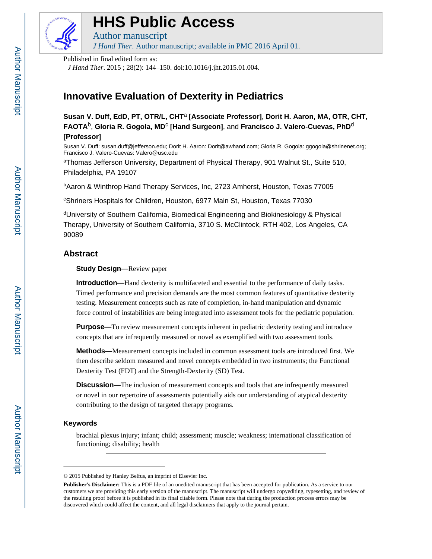

# **HHS Public Access**

Author manuscript *J Hand Ther*. Author manuscript; available in PMC 2016 April 01.

Published in final edited form as:

*J Hand Ther*. 2015 ; 28(2): 144–150. doi:10.1016/j.jht.2015.01.004.

# **Innovative Evaluation of Dexterity in Pediatrics**

**Susan V. Duff, EdD, PT, OTR/L, CHT**a **[Associate Professor]**, **Dorit H. Aaron, MA, OTR, CHT, FAOTA**b, **Gloria R. Gogola, MD**<sup>c</sup>  **[Hand Surgeon]**, and **Francisco J. Valero-Cuevas, PhD**<sup>d</sup> **[Professor]**

Susan V. Duff: susan.duff@jefferson.edu; Dorit H. Aaron: Dorit@awhand.com; Gloria R. Gogola: ggogola@shrinenet.org; Francisco J. Valero-Cuevas: Valero@usc.edu

aThomas Jefferson University, Department of Physical Therapy, 901 Walnut St., Suite 510, Philadelphia, PA 19107

<sup>b</sup>Aaron & Winthrop Hand Therapy Services, Inc, 2723 Amherst, Houston, Texas 77005

<sup>c</sup>Shriners Hospitals for Children, Houston, 6977 Main St, Houston, Texas 77030

<sup>d</sup>University of Southern California, Biomedical Engineering and Biokinesiology & Physical Therapy, University of Southern California, 3710 S. McClintock, RTH 402, Los Angeles, CA 90089

# **Abstract**

**Study Design—**Review paper

**Introduction—**Hand dexterity is multifaceted and essential to the performance of daily tasks. Timed performance and precision demands are the most common features of quantitative dexterity testing. Measurement concepts such as rate of completion, in-hand manipulation and dynamic force control of instabilities are being integrated into assessment tools for the pediatric population.

**Purpose—**To review measurement concepts inherent in pediatric dexterity testing and introduce concepts that are infrequently measured or novel as exemplified with two assessment tools.

**Methods—**Measurement concepts included in common assessment tools are introduced first. We then describe seldom measured and novel concepts embedded in two instruments; the Functional Dexterity Test (FDT) and the Strength-Dexterity (SD) Test.

**Discussion—**The inclusion of measurement concepts and tools that are infrequently measured or novel in our repertoire of assessments potentially aids our understanding of atypical dexterity contributing to the design of targeted therapy programs.

## **Keywords**

brachial plexus injury; infant; child; assessment; muscle; weakness; international classification of functioning; disability; health

<sup>© 2015</sup> Published by Hanley Belfus, an imprint of Elsevier Inc.

**Publisher's Disclaimer:** This is a PDF file of an unedited manuscript that has been accepted for publication. As a service to our customers we are providing this early version of the manuscript. The manuscript will undergo copyediting, typesetting, and review of the resulting proof before it is published in its final citable form. Please note that during the production process errors may be discovered which could affect the content, and all legal disclaimers that apply to the journal pertain.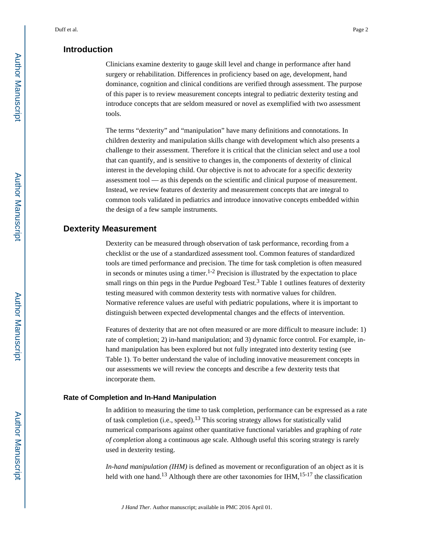# **Introduction**

Clinicians examine dexterity to gauge skill level and change in performance after hand surgery or rehabilitation. Differences in proficiency based on age, development, hand dominance, cognition and clinical conditions are verified through assessment. The purpose of this paper is to review measurement concepts integral to pediatric dexterity testing and introduce concepts that are seldom measured or novel as exemplified with two assessment tools.

The terms "dexterity" and "manipulation" have many definitions and connotations. In children dexterity and manipulation skills change with development which also presents a challenge to their assessment. Therefore it is critical that the clinician select and use a tool that can quantify, and is sensitive to changes in, the components of dexterity of clinical interest in the developing child. Our objective is not to advocate for a specific dexterity assessment tool — as this depends on the scientific and clinical purpose of measurement. Instead, we review features of dexterity and measurement concepts that are integral to common tools validated in pediatrics and introduce innovative concepts embedded within the design of a few sample instruments.

# **Dexterity Measurement**

Dexterity can be measured through observation of task performance, recording from a checklist or the use of a standardized assessment tool. Common features of standardized tools are timed performance and precision. The time for task completion is often measured in seconds or minutes using a timer.<sup>1-2</sup> Precision is illustrated by the expectation to place small rings on thin pegs in the Purdue Pegboard Test.<sup>3</sup> Table 1 outlines features of dexterity testing measured with common dexterity tests with normative values for children. Normative reference values are useful with pediatric populations, where it is important to distinguish between expected developmental changes and the effects of intervention.

Features of dexterity that are not often measured or are more difficult to measure include: 1) rate of completion; 2) in-hand manipulation; and 3) dynamic force control. For example, inhand manipulation has been explored but not fully integrated into dexterity testing (see Table 1). To better understand the value of including innovative measurement concepts in our assessments we will review the concepts and describe a few dexterity tests that incorporate them.

#### **Rate of Completion and In-Hand Manipulation**

In addition to measuring the time to task completion, performance can be expressed as a rate of task completion (i.e., speed).13 This scoring strategy allows for statistically valid numerical comparisons against other quantitative functional variables and graphing of *rate of completion* along a continuous age scale. Although useful this scoring strategy is rarely used in dexterity testing.

*In-hand manipulation (IHM)* is defined as movement or reconfiguration of an object as it is held with one hand.<sup>13</sup> Although there are other taxonomies for IHM,<sup>15-17</sup> the classification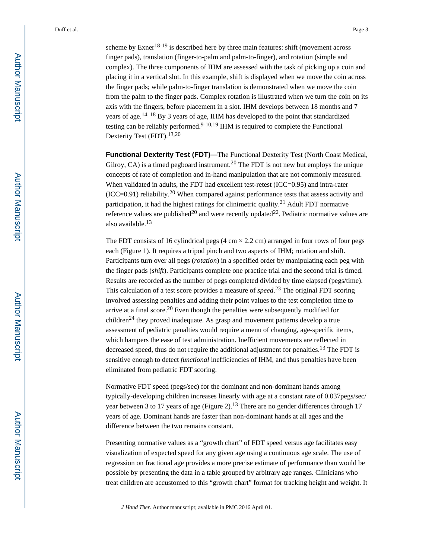scheme by  $\text{Exner}^{18-19}$  is described here by three main features: shift (movement across finger pads), translation (finger-to-palm and palm-to-finger), and rotation (simple and complex). The three components of IHM are assessed with the task of picking up a coin and placing it in a vertical slot. In this example, shift is displayed when we move the coin across the finger pads; while palm-to-finger translation is demonstrated when we move the coin from the palm to the finger pads. Complex rotation is illustrated when we turn the coin on its axis with the fingers, before placement in a slot. IHM develops between 18 months and 7 years of age.14, 18 By 3 years of age, IHM has developed to the point that standardized testing can be reliably performed.<sup>9-10,19</sup> IHM is required to complete the Functional Dexterity Test (FDT).13,20

**Functional Dexterity Test (FDT)—**The Functional Dexterity Test (North Coast Medical, Gilroy, CA) is a timed pegboard instrument.<sup>20</sup> The FDT is not new but employs the unique concepts of rate of completion and in-hand manipulation that are not commonly measured. When validated in adults, the FDT had excellent test-retest (ICC=0.95) and intra-rater  $(ICC=0.91)$  reliability.<sup>20</sup> When compared against performance tests that assess activity and participation, it had the highest ratings for clinimetric quality.21 Adult FDT normative reference values are published<sup>20</sup> and were recently updated<sup>22</sup>. Pediatric normative values are also available.<sup>13</sup>

The FDT consists of 16 cylindrical pegs (4 cm  $\times$  2.2 cm) arranged in four rows of four pegs each (Figure 1). It requires a tripod pinch and two aspects of IHM; rotation and shift. Participants turn over all pegs (*rotation*) in a specified order by manipulating each peg with the finger pads (*shift*). Participants complete one practice trial and the second trial is timed. Results are recorded as the number of pegs completed divided by time elapsed (pegs/time). This calculation of a test score provides a measure of *speed*. <sup>23</sup> The original FDT scoring involved assessing penalties and adding their point values to the test completion time to arrive at a final score.<sup>20</sup> Even though the penalties were subsequently modified for children<sup>24</sup> they proved inadequate. As grasp and movement patterns develop a true assessment of pediatric penalties would require a menu of changing, age-specific items, which hampers the ease of test administration. Inefficient movements are reflected in decreased speed, thus do not require the additional adjustment for penalties.<sup>13</sup> The FDT is sensitive enough to detect *functional* inefficiencies of IHM, and thus penalties have been eliminated from pediatric FDT scoring.

Normative FDT speed (pegs/sec) for the dominant and non-dominant hands among typically-developing children increases linearly with age at a constant rate of 0.037pegs/sec/ year between 3 to 17 years of age (Figure 2).<sup>13</sup> There are no gender differences through 17 years of age. Dominant hands are faster than non-dominant hands at all ages and the difference between the two remains constant.

Presenting normative values as a "growth chart" of FDT speed versus age facilitates easy visualization of expected speed for any given age using a continuous age scale. The use of regression on fractional age provides a more precise estimate of performance than would be possible by presenting the data in a table grouped by arbitrary age ranges. Clinicians who treat children are accustomed to this "growth chart" format for tracking height and weight. It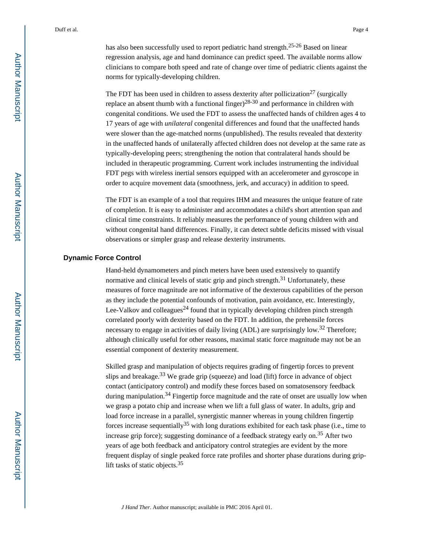has also been successfully used to report pediatric hand strength.25-26 Based on linear regression analysis, age and hand dominance can predict speed. The available norms allow clinicians to compare both speed and rate of change over time of pediatric clients against the norms for typically-developing children.

The FDT has been used in children to assess dexterity after pollicization<sup>27</sup> (surgically replace an absent thumb with a functional finger)<sup>28-30</sup> and performance in children with congenital conditions. We used the FDT to assess the unaffected hands of children ages 4 to 17 years of age with *unilateral* congenital differences and found that the unaffected hands were slower than the age-matched norms (unpublished). The results revealed that dexterity in the unaffected hands of unilaterally affected children does not develop at the same rate as typically-developing peers; strengthening the notion that contralateral hands should be included in therapeutic programming. Current work includes instrumenting the individual FDT pegs with wireless inertial sensors equipped with an accelerometer and gyroscope in order to acquire movement data (smoothness, jerk, and accuracy) in addition to speed.

The FDT is an example of a tool that requires IHM and measures the unique feature of rate of completion. It is easy to administer and accommodates a child's short attention span and clinical time constraints. It reliably measures the performance of young children with and without congenital hand differences. Finally, it can detect subtle deficits missed with visual observations or simpler grasp and release dexterity instruments.

#### **Dynamic Force Control**

Hand-held dynamometers and pinch meters have been used extensively to quantify normative and clinical levels of static grip and pinch strength. $31$  Unfortunately, these measures of force magnitude are not informative of the dexterous capabilities of the person as they include the potential confounds of motivation, pain avoidance, etc. Interestingly, Lee-Valkov and colleagues<sup>24</sup> found that in typically developing children pinch strength correlated poorly with dexterity based on the FDT. In addition, the prehensile forces necessary to engage in activities of daily living (ADL) are surprisingly low.<sup>32</sup> Therefore; although clinically useful for other reasons, maximal static force magnitude may not be an essential component of dexterity measurement.

Skilled grasp and manipulation of objects requires grading of fingertip forces to prevent slips and breakage.<sup>33</sup> We grade grip (squeeze) and load (lift) force in advance of object contact (anticipatory control) and modify these forces based on somatosensory feedback during manipulation.<sup>34</sup> Fingertip force magnitude and the rate of onset are usually low when we grasp a potato chip and increase when we lift a full glass of water. In adults, grip and load force increase in a parallel, synergistic manner whereas in young children fingertip forces increase sequentially<sup>35</sup> with long durations exhibited for each task phase (i.e., time to increase grip force); suggesting dominance of a feedback strategy early on.<sup>35</sup> After two years of age both feedback and anticipatory control strategies are evident by the more frequent display of single peaked force rate profiles and shorter phase durations during griplift tasks of static objects.<sup>35</sup>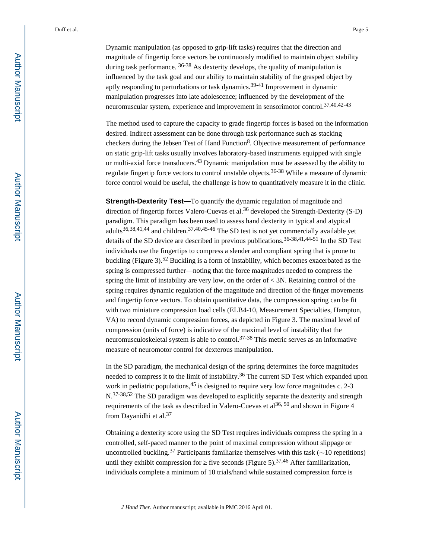Dynamic manipulation (as opposed to grip-lift tasks) requires that the direction and magnitude of fingertip force vectors be continuously modified to maintain object stability during task performance. 36-38 As dexterity develops, the quality of manipulation is influenced by the task goal and our ability to maintain stability of the grasped object by aptly responding to perturbations or task dynamics.39-41 Improvement in dynamic manipulation progresses into late adolescence; influenced by the development of the neuromuscular system, experience and improvement in sensorimotor control.37,40,42-43

The method used to capture the capacity to grade fingertip forces is based on the information desired. Indirect assessment can be done through task performance such as stacking checkers during the Jebsen Test of Hand Function<sup>8</sup>. Objective measurement of performance on static grip-lift tasks usually involves laboratory-based instruments equipped with single or multi-axial force transducers.43 Dynamic manipulation must be assessed by the ability to regulate fingertip force vectors to control unstable objects.36-38 While a measure of dynamic force control would be useful, the challenge is how to quantitatively measure it in the clinic.

**Strength-Dexterity Test—**To quantify the dynamic regulation of magnitude and direction of fingertip forces Valero-Cuevas et al.<sup>36</sup> developed the Strength-Dexterity (S-D) paradigm. This paradigm has been used to assess hand dexterity in typical and atypical adults<sup>36,38,41,44</sup> and children.<sup>37,40,45-46</sup> The SD test is not vet commercially available vet details of the SD device are described in previous publications.<sup>36-38,41,44-51</sup> In the SD Test individuals use the fingertips to compress a slender and compliant spring that is prone to buckling (Figure 3).52 Buckling is a form of instability, which becomes exacerbated as the spring is compressed further—noting that the force magnitudes needed to compress the spring the limit of instability are very low, on the order of  $\lt$  3N. Retaining control of the spring requires dynamic regulation of the magnitude and direction of the finger movements and fingertip force vectors. To obtain quantitative data, the compression spring can be fit with two miniature compression load cells (ELB4-10, Measurement Specialties, Hampton, VA) to record dynamic compression forces, as depicted in Figure 3. The maximal level of compression (units of force) is indicative of the maximal level of instability that the neuromusculoskeletal system is able to control.<sup>37-38</sup> This metric serves as an informative measure of neuromotor control for dexterous manipulation.

In the SD paradigm, the mechanical design of the spring determines the force magnitudes needed to compress it to the limit of instability.<sup>36</sup> The current SD Test which expanded upon work in pediatric populations,  $45$  is designed to require very low force magnitudes c. 2-3 N.<sup>37-38,52</sup> The SD paradigm was developed to explicitly separate the dexterity and strength requirements of the task as described in Valero-Cuevas et al<sup>36, 50</sup> and shown in Figure 4 from Dayanidhi et al.<sup>37</sup>

Obtaining a dexterity score using the SD Test requires individuals compress the spring in a controlled, self-paced manner to the point of maximal compression without slippage or uncontrolled buckling.<sup>37</sup> Participants familiarize themselves with this task ( $\sim$ 10 repetitions) until they exhibit compression for  $\frac{2}{3}$  five seconds (Figure 5).<sup>37,46</sup> After familiarization, individuals complete a minimum of 10 trials/hand while sustained compression force is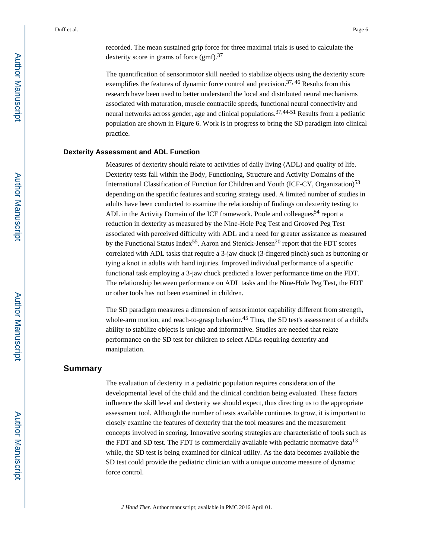The quantification of sensorimotor skill needed to stabilize objects using the dexterity score exemplifies the features of dynamic force control and precision.<sup>37, 46</sup> Results from this research have been used to better understand the local and distributed neural mechanisms associated with maturation, muscle contractile speeds, functional neural connectivity and neural networks across gender, age and clinical populations.37,44-51 Results from a pediatric population are shown in Figure 6. Work is in progress to bring the SD paradigm into clinical practice.

#### **Dexterity Assessment and ADL Function**

Measures of dexterity should relate to activities of daily living (ADL) and quality of life. Dexterity tests fall within the Body, Functioning, Structure and Activity Domains of the International Classification of Function for Children and Youth (ICF-CY, Organization)<sup>53</sup> depending on the specific features and scoring strategy used. A limited number of studies in adults have been conducted to examine the relationship of findings on dexterity testing to ADL in the Activity Domain of the ICF framework. Poole and colleagues<sup>54</sup> report a reduction in dexterity as measured by the Nine-Hole Peg Test and Grooved Peg Test associated with perceived difficulty with ADL and a need for greater assistance as measured by the Functional Status Index<sup>55</sup>. Aaron and Stenick-Jensen<sup>20</sup> report that the FDT scores correlated with ADL tasks that require a 3-jaw chuck (3-fingered pinch) such as buttoning or tying a knot in adults with hand injuries. Improved individual performance of a specific functional task employing a 3-jaw chuck predicted a lower performance time on the FDT. The relationship between performance on ADL tasks and the Nine-Hole Peg Test, the FDT or other tools has not been examined in children.

The SD paradigm measures a dimension of sensorimotor capability different from strength, whole-arm motion, and reach-to-grasp behavior.<sup>45</sup> Thus, the SD test's assessment of a child's ability to stabilize objects is unique and informative. Studies are needed that relate performance on the SD test for children to select ADLs requiring dexterity and manipulation.

## **Summary**

The evaluation of dexterity in a pediatric population requires consideration of the developmental level of the child and the clinical condition being evaluated. These factors influence the skill level and dexterity we should expect, thus directing us to the appropriate assessment tool. Although the number of tests available continues to grow, it is important to closely examine the features of dexterity that the tool measures and the measurement concepts involved in scoring. Innovative scoring strategies are characteristic of tools such as the FDT and SD test. The FDT is commercially available with pediatric normative data<sup>13</sup> while, the SD test is being examined for clinical utility. As the data becomes available the SD test could provide the pediatric clinician with a unique outcome measure of dynamic force control.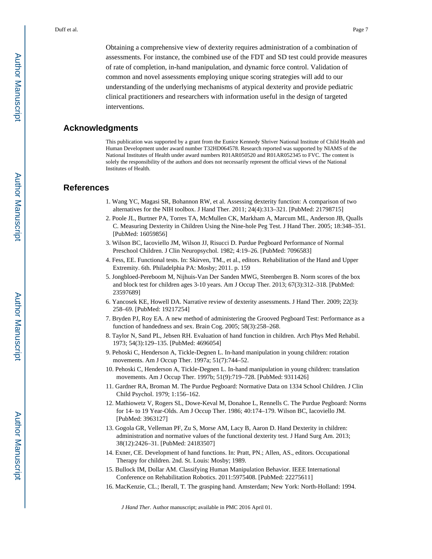Obtaining a comprehensive view of dexterity requires administration of a combination of assessments. For instance, the combined use of the FDT and SD test could provide measures of rate of completion, in-hand manipulation, and dynamic force control. Validation of common and novel assessments employing unique scoring strategies will add to our understanding of the underlying mechanisms of atypical dexterity and provide pediatric clinical practitioners and researchers with information useful in the design of targeted interventions.

#### **Acknowledgments**

This publication was supported by a grant from the Eunice Kennedy Shriver National Institute of Child Health and Human Development under award number T32HD064578. Research reported was supported by NIAMS of the National Institutes of Health under award numbers R01AR050520 and R01AR052345 to FVC. The content is solely the responsibility of the authors and does not necessarily represent the official views of the National Institutes of Health.

#### **References**

- 1. Wang YC, Magasi SR, Bohannon RW, et al. Assessing dexterity function: A comparison of two alternatives for the NIH toolbox. J Hand Ther. 2011; 24(4):313–321. [PubMed: 21798715]
- 2. Poole JL, Burtner PA, Torres TA, McMullen CK, Markham A, Marcum ML, Anderson JB, Qualls C. Measuring Dexterity in Children Using the Nine-hole Peg Test. J Hand Ther. 2005; 18:348–351. [PubMed: 16059856]
- 3. Wilson BC, Iacoviello JM, Wilson JJ, Risucci D. Purdue Pegboard Performance of Normal Preschool Children. J Clin Neuropsychol. 1982; 4:19–26. [PubMed: 7096583]
- 4. Fess, EE. Functional tests. In: Skirven, TM., et al., editors. Rehabilitation of the Hand and Upper Extremity. 6th. Philadelphia PA: Mosby; 2011. p. 159
- 5. Jongbloed-Pereboom M, Nijhuis-Van Der Sanden MWG, Steenbergen B. Norm scores of the box and block test for children ages 3-10 years. Am J Occup Ther. 2013; 67(3):312–318. [PubMed: 23597689]
- 6. Yancosek KE, Howell DA. Narrative review of dexterity assessments. J Hand Ther. 2009; 22(3): 258–69. [PubMed: 19217254]
- 7. Bryden PJ, Roy EA. A new method of administering the Grooved Pegboard Test: Performance as a function of handedness and sex. Brain Cog. 2005; 58(3):258–268.
- 8. Taylor N, Sand PL, Jebsen RH. Evaluation of hand function in children. Arch Phys Med Rehabil. 1973; 54(3):129–135. [PubMed: 4696054]
- 9. Pehoski C, Henderson A, Tickle-Degnen L. In-hand manipulation in young children: rotation movements. Am J Occup Ther. 1997a; 51(7):744–52.
- 10. Pehoski C, Henderson A, Tickle-Degnen L. In-hand manipulation in young children: translation movements. Am J Occup Ther. 1997b; 51(9):719–728. [PubMed: 9311426]
- 11. Gardner RA, Broman M. The Purdue Pegboard: Normative Data on 1334 School Children. J Clin Child Psychol. 1979; 1:156–162.
- 12. Mathiowetz V, Rogers SL, Dowe-Keval M, Donahoe L, Rennells C. The Purdue Pegboard: Norms for 14- to 19 Year-Olds. Am J Occup Ther. 1986; 40:174–179. Wilson BC, Iacoviello JM. [PubMed: 3963127]
- 13. Gogola GR, Velleman PF, Zu S, Morse AM, Lacy B, Aaron D. Hand Dexterity in children: administration and normative values of the functional dexterity test. J Hand Surg Am. 2013; 38(12):2426–31. [PubMed: 24183507]
- 14. Exner, CE. Development of hand functions. In: Pratt, PN.; Allen, AS., editors. Occupational Therapy for children. 2nd. St. Louis: Mosby; 1989.
- 15. Bullock IM, Dollar AM. Classifying Human Manipulation Behavior. IEEE International Conference on Rehabilitation Robotics. 2011:5975408. [PubMed: 22275611]
- 16. MacKenzie, CL.; Iberall, T. The grasping hand. Amsterdam; New York: North-Holland: 1994.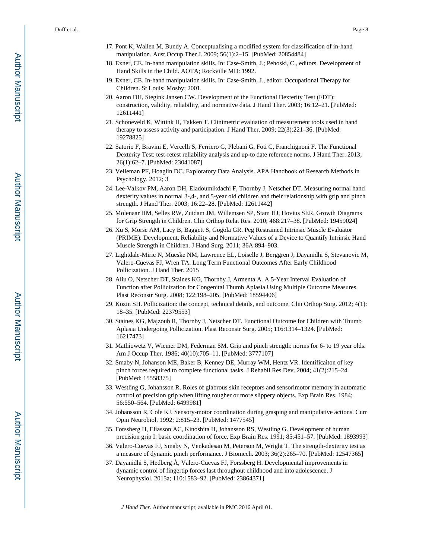- 17. Pont K, Wallen M, Bundy A. Conceptualising a modified system for classification of in-hand manipulation. Aust Occup Ther J. 2009; 56(1):2–15. [PubMed: 20854484]
- 18. Exner, CE. In-hand manipulation skills. In: Case-Smith, J.; Pehoski, C., editors. Development of Hand Skills in the Child. AOTA; Rockville MD: 1992.
- 19. Exner, CE. In-hand manipulation skills. In: Case-Smith, J., editor. Occupational Therapy for Children. St Louis: Mosby; 2001.
- 20. Aaron DH, Stegink Jansen CW. Development of the Functional Dexterity Test (FDT): construction, validity, reliability, and normative data. J Hand Ther. 2003; 16:12–21. [PubMed: 12611441]
- 21. Schoneveld K, Wittink H, Takken T. Clinimetric evaluation of measurement tools used in hand therapy to assess activity and participation. J Hand Ther. 2009; 22(3):221–36. [PubMed: 19278825]
- 22. Satorio F, Bravini E, Vercelli S, Ferriero G, Plebani G, Foti C, Franchignoni F. The Functional Dexterity Test: test-retest reliability analysis and up-to date reference norms. J Hand Ther. 2013; 26(1):62–7. [PubMed: 23041087]
- 23. Velleman PF, Hoaglin DC. Exploratory Data Analysis. APA Handbook of Research Methods in Psychology. 2012; 3
- 24. Lee-Valkov PM, Aaron DH, Eladoumikdachi F, Thornby J, Netscher DT. Measuring normal hand dexterity values in normal 3-,4-, and 5-year old children and their relationship with grip and pinch strength. J Hand Ther. 2003; 16:22–28. [PubMed: 12611442]
- 25. Molenaar HM, Selles RW, Zuidam JM, Willemsen SP, Stam HJ, Hovius SER. Growth Diagrams for Grip Strength in Children. Clin Orthop Relat Res. 2010; 468:217–38. [PubMed: 19459024]
- 26. Xu S, Morse AM, Lacy B, Baggett S, Gogola GR. Peg Restrained Intrinsic Muscle Evaluator (PRIME): Development, Reliability and Normative Values of a Device to Quantify Intrinsic Hand Muscle Strength in Children. J Hand Surg. 2011; 36A:894–903.
- 27. Lightdale-Miric N, Mueske NM, Lawrence EL, Loiselle J, Berggren J, Dayanidhi S, Stevanovic M, Valero-Cuevas FJ, Wren TA. Long Term Functional Outcomes After Early Childhood Pollicization. J Hand Ther. 2015
- 28. Aliu O, Netscher DT, Staines KG, Thornby J, Armenta A. A 5-Year Interval Evaluation of Function after Pollicization for Congenital Thumb Aplasia Using Multiple Outcome Measures. Plast Reconstr Surg. 2008; 122:198–205. [PubMed: 18594406]
- 29. Kozin SH. Pollicization: the concept, technical details, and outcome. Clin Orthop Surg. 2012; 4(1): 18–35. [PubMed: 22379553]
- 30. Staines KG, Majzoub R, Thornby J, Netscher DT. Functional Outcome for Children with Thumb Aplasia Undergoing Pollicization. Plast Reconstr Surg. 2005; 116:1314–1324. [PubMed: 16217473]
- 31. Mathiowetz V, Wiemer DM, Federman SM. Grip and pinch strength: norms for 6- to 19 year olds. Am J Occup Ther. 1986; 40(10):705–11. [PubMed: 3777107]
- 32. Smaby N, Johanson ME, Baker B, Kenney DE, Murray WM, Hentz VR. Identificaiton of key pinch forces required to complete functional tasks. J Rehabil Res Dev. 2004; 41(2):215–24. [PubMed: 15558375]
- 33. Westling G, Johansson R. Roles of glabrous skin receptors and sensorimotor memory in automatic control of precision grip when lifting rougher or more slippery objects. Exp Brain Res. 1984; 56:550–564. [PubMed: 6499981]
- 34. Johansson R, Cole KJ. Sensory-motor coordination during grasping and manipulative actions. Curr Opin Neurobiol. 1992; 2:815–23. [PubMed: 1477545]
- 35. Forssberg H, Eliasson AC, Kinoshita H, Johansson RS, Westling G. Development of human precision grip I: basic coordination of force. Exp Brain Res. 1991; 85:451–57. [PubMed: 1893993]
- 36. Valero-Cuevas FJ, Smaby N, Venkadesan M, Peterson M, Wright T. The strength-dexterity test as a measure of dynamic pinch performance. J Biomech. 2003; 36(2):265–70. [PubMed: 12547365]
- 37. Dayanidhi S, Hedberg Å, Valero-Cuevas FJ, Forssberg H. Developmental improvements in dynamic control of fingertip forces last throughout childhood and into adolescence. J Neurophysiol. 2013a; 110:1583–92. [PubMed: 23864371]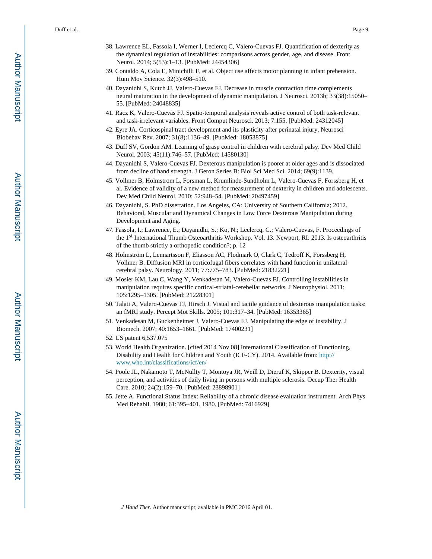- 38. Lawrence EL, Fassola I, Werner I, Leclercq C, Valero-Cuevas FJ. Quantification of dexterity as the dynamical regulation of instabilities: comparisons across gender, age, and disease. Front Neurol. 2014; 5(53):1–13. [PubMed: 24454306]
- 39. Contaldo A, Cola E, Minichilli F, et al. Object use affects motor planning in infant prehension. Hum Mov Science. 32(3):498–510.
- 40. Dayanidhi S, Kutch JJ, Valero-Cuevas FJ. Decrease in muscle contraction time complements neural maturation in the development of dynamic manipulation. J Neurosci. 2013b; 33(38):15050– 55. [PubMed: 24048835]
- 41. Racz K, Valero-Cuevas FJ. Spatio-temporal analysis reveals active control of both task-relevant and task-irrelevant variables. Front Comput Neurosci. 2013; 7:155. [PubMed: 24312045]
- 42. Eyre JA. Corticospinal tract development and its plasticity after perinatal injury. Neurosci Biobehav Rev. 2007; 31(8):1136–49. [PubMed: 18053875]
- 43. Duff SV, Gordon AM. Learning of grasp control in children with cerebral palsy. Dev Med Child Neurol. 2003; 45(11):746–57. [PubMed: 14580130]
- 44. Dayanidhi S, Valero-Cuevas FJ. Dexterous manipulation is poorer at older ages and is dissociated from decline of hand strength. J Geron Series B: Biol Sci Med Sci. 2014; 69(9):1139.
- 45. Vollmer B, Holmstrom L, Forsman L, Krumlinde-Sundholm L, Valero-Cuevas F, Forssberg H, et al. Evidence of validity of a new method for measurement of dexterity in children and adolescents. Dev Med Child Neurol. 2010; 52:948–54. [PubMed: 20497459]
- 46. Dayanidhi, S. PhD dissertation. Los Angeles, CA: University of Southern California; 2012. Behavioral, Muscular and Dynamical Changes in Low Force Dexterous Manipulation during Development and Aging.
- 47. Fassola, I.; Lawrence, E.; Dayanidhi, S.; Ko, N.; Leclercq, C.; Valero-Cuevas, F. Proceedings of the 1st International Thumb Osteoarthritis Workshop. Vol. 13. Newport, RI: 2013. Is osteoarthritis of the thumb strictly a orthopedic condition?; p. 12
- 48. Holmström L, Lennartsson F, Eliasson AC, Flodmark O, Clark C, Tedroff K, Forssberg H, Vollmer B. Diffusion MRI in corticofugal fibers correlates with hand function in unilateral cerebral palsy. Neurology. 2011; 77:775–783. [PubMed: 21832221]
- 49. Mosier KM, Lau C, Wang Y, Venkadesan M, Valero-Cuevas FJ. Controlling instabilities in manipulation requires specific cortical-striatal-cerebellar networks. J Neurophysiol. 2011; 105:1295–1305. [PubMed: 21228301]
- 50. Talati A, Valero-Cuevas FJ, Hirsch J. Visual and tactile guidance of dexterous manipulation tasks: an fMRI study. Percept Mot Skills. 2005; 101:317–34. [PubMed: 16353365]
- 51. Venkadesan M, Guckenheimer J, Valero-Cuevas FJ. Manipulating the edge of instability. J Biomech. 2007; 40:1653–1661. [PubMed: 17400231]
- 52. US patent 6,537.075
- 53. World Health Organization. [cited 2014 Nov 08] International Classification of Functioning, Disability and Health for Children and Youth (ICF-CY). 2014. Available from: [http://](http://www.who.int/classifications/icf/en/) [www.who.int/classifications/icf/en/](http://www.who.int/classifications/icf/en/)
- 54. Poole JL, Nakamoto T, McNullty T, Montoya JR, Weill D, Dieruf K, Skipper B. Dexterity, visual perception, and activities of daily living in persons with multiple sclerosis. Occup Ther Health Care. 2010; 24(2):159–70. [PubMed: 23898901]
- 55. Jette A. Functional Status Index: Reliability of a chronic disease evaluation instrument. Arch Phys Med Rehabil. 1980; 61:395–401. 1980. [PubMed: 7416929]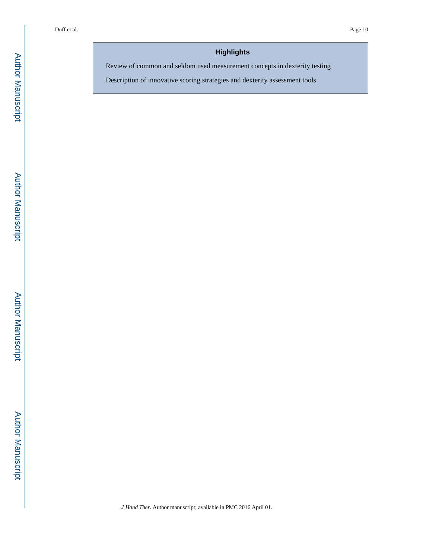# **Highlights**

Review of common and seldom used measurement concepts in dexterity testing

Description of innovative scoring strategies and dexterity assessment tools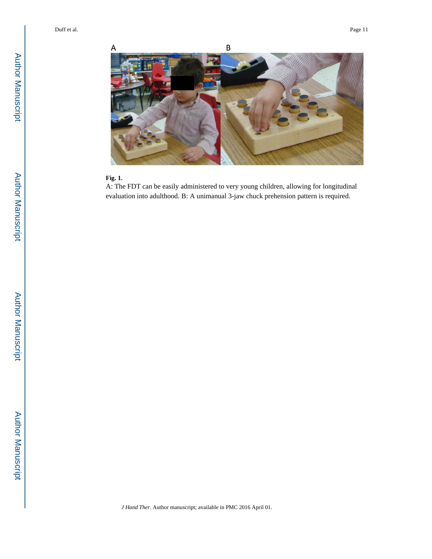

#### **Fig. 1.**

A: The FDT can be easily administered to very young children, allowing for longitudinal evaluation into adulthood. B: A unimanual 3-jaw chuck prehension pattern is required.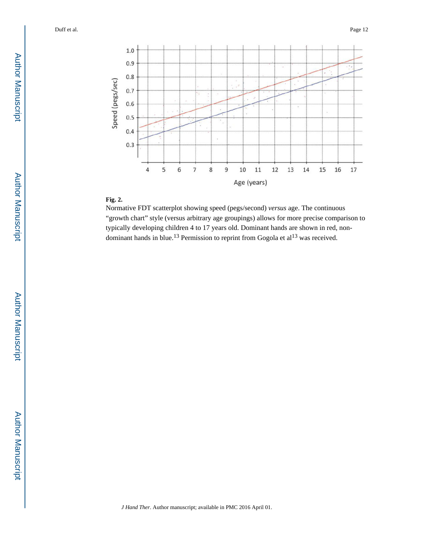

# **Fig. 2.**

Normative FDT scatterplot showing speed (pegs/second) *versus* age. The continuous "growth chart" style (versus arbitrary age groupings) allows for more precise comparison to typically developing children 4 to 17 years old. Dominant hands are shown in red, nondominant hands in blue.<sup>13</sup> Permission to reprint from Gogola et  $al<sup>13</sup>$  was received.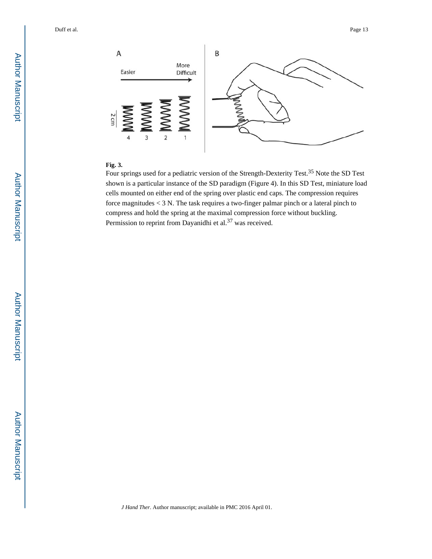

## **Fig. 3.**

Four springs used for a pediatric version of the Strength-Dexterity Test.<sup>35</sup> Note the SD Test shown is a particular instance of the SD paradigm (Figure 4). In this SD Test, miniature load cells mounted on either end of the spring over plastic end caps. The compression requires force magnitudes < 3 N. The task requires a two-finger palmar pinch or a lateral pinch to compress and hold the spring at the maximal compression force without buckling. Permission to reprint from Dayanidhi et al.<sup>37</sup> was received.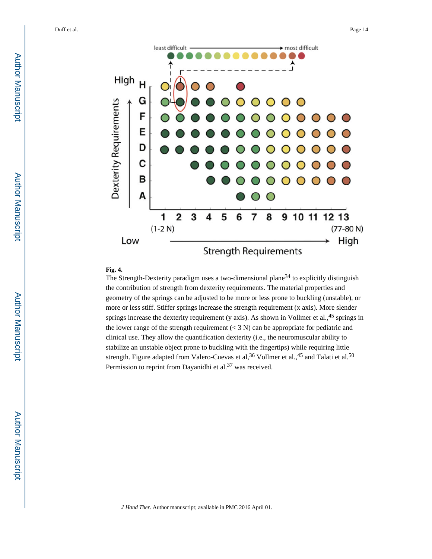

#### **Fig. 4.**

The Strength-Dexterity paradigm uses a two-dimensional plane<sup>34</sup> to explicitly distinguish the contribution of strength from dexterity requirements. The material properties and geometry of the springs can be adjusted to be more or less prone to buckling (unstable), or more or less stiff. Stiffer springs increase the strength requirement (x axis). More slender springs increase the dexterity requirement (y axis). As shown in Vollmer et al.,  $45$  springs in the lower range of the strength requirement  $(< 3 N)$  can be appropriate for pediatric and clinical use. They allow the quantification dexterity (i.e., the neuromuscular ability to stabilize an unstable object prone to buckling with the fingertips) while requiring little strength. Figure adapted from Valero-Cuevas et al,  $36$  Vollmer et al.,  $45$  and Talati et al.  $50$ Permission to reprint from Dayanidhi et al.<sup>37</sup> was received.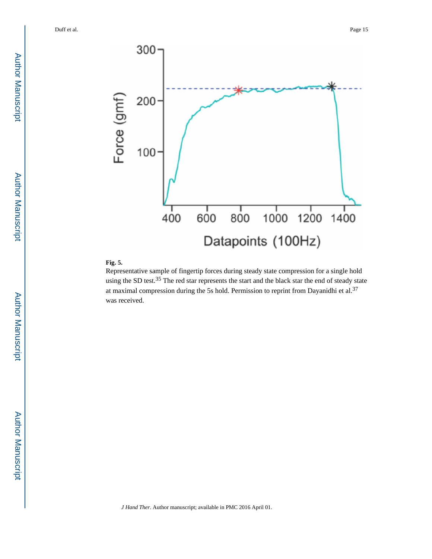

# **Fig. 5.**

Representative sample of fingertip forces during steady state compression for a single hold using the SD test.<sup>35</sup> The red star represents the start and the black star the end of steady state at maximal compression during the 5s hold. Permission to reprint from Dayanidhi et al.<sup>37</sup> was received.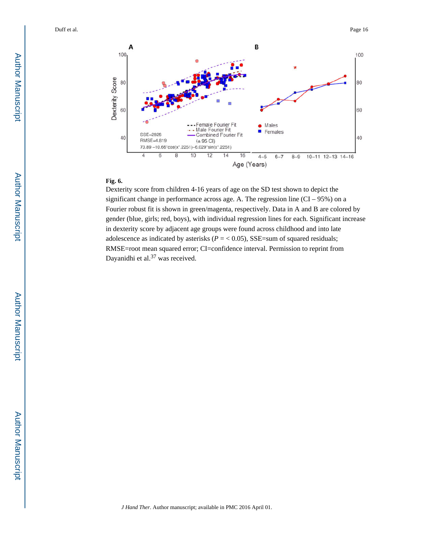

#### **Fig. 6.**

Dexterity score from children 4-16 years of age on the SD test shown to depict the significant change in performance across age. A. The regression line (CI – 95%) on a Fourier robust fit is shown in green/magenta, respectively. Data in A and B are colored by gender (blue, girls; red, boys), with individual regression lines for each. Significant increase in dexterity score by adjacent age groups were found across childhood and into late adolescence as indicated by asterisks ( $P = < 0.05$ ), SSE=sum of squared residuals; RMSE=root mean squared error; CI=confidence interval. Permission to reprint from Dayanidhi et al.<sup>37</sup> was received.